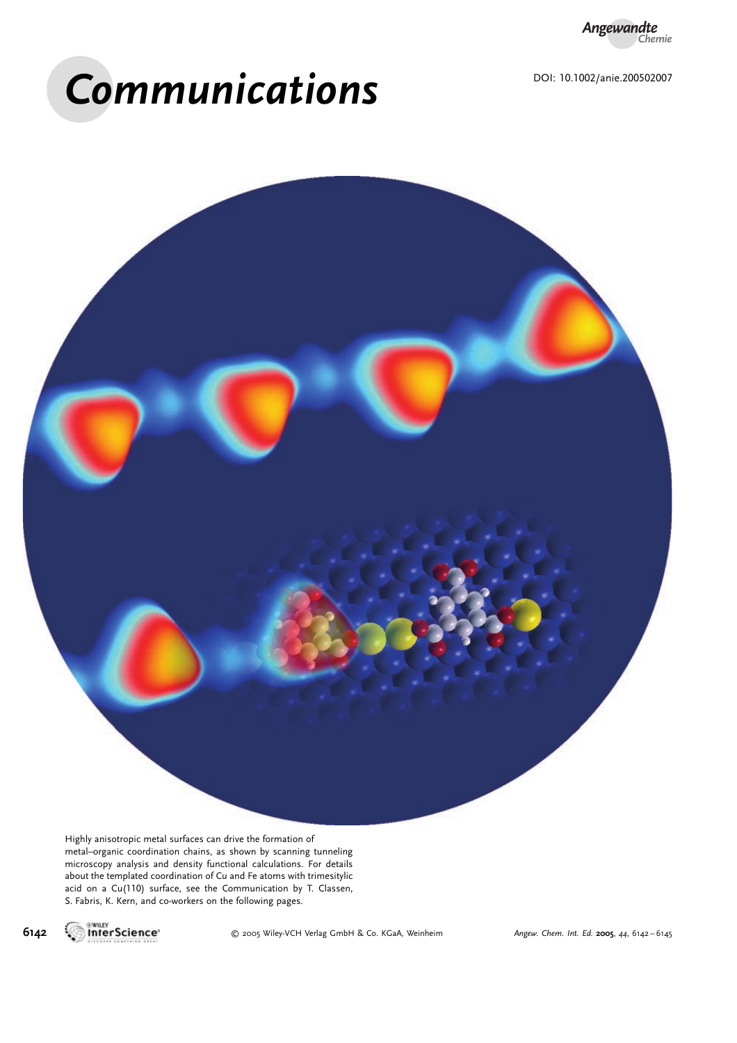*Angewandte Chemie*

# Communications



Highly anisotropic metal surfaces can drive the formation of metal–organic coordination chains, as shown by scanning tunneling microscopy analysis and density functional calculations. For details about the templated coordination of Cu and Fe atoms with trimesitylic acid on a Cu(110) surface, see the Communication by T. Classen, S. Fabris, K. Kern, and co-workers on the following pages.



6142 **INTERTIGLIA CO.** 2005 Wiley-VCH Verlag GmbH & Co. KGaA, Weinheim Angew. Chem. Int. Ed. 2005, 44, 6142-6145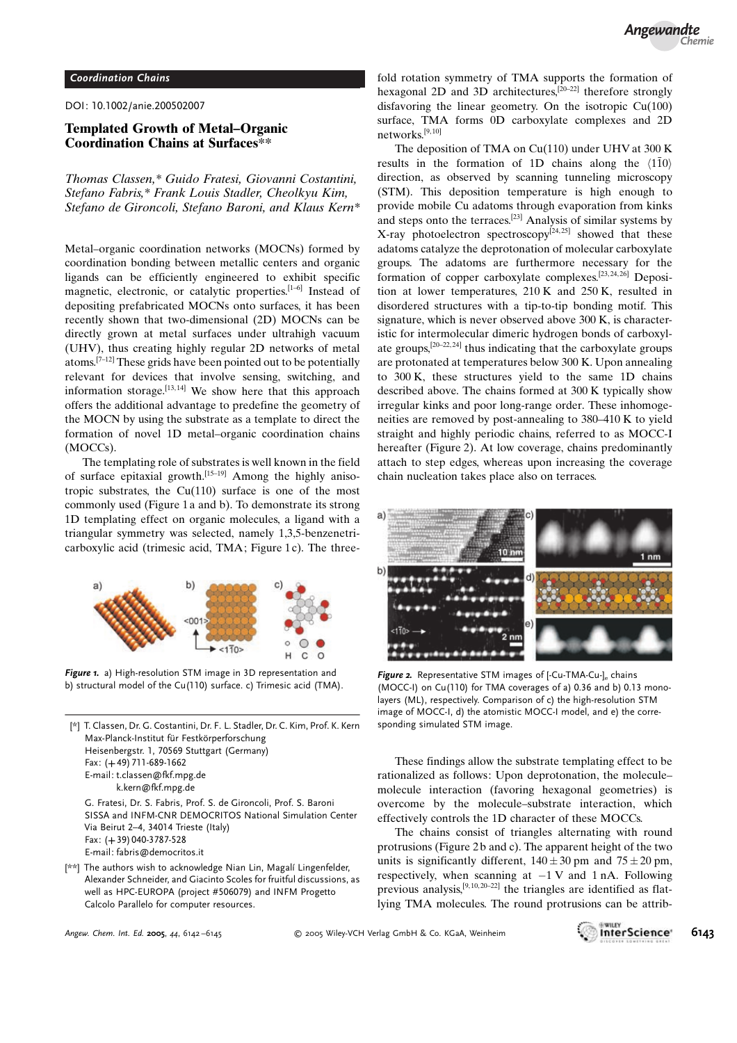#### Coordination Chains

DOI: 10.1002/anie.200502007

## Templated Growth of Metal–Organic Coordination Chains at Surfaces\*\*

Thomas Classen,\* Guido Fratesi, Giovanni Costantini, Stefano Fabris,\* Frank Louis Stadler, Cheolkyu Kim, Stefano de Gironcoli, Stefano Baroni, and Klaus Kern\*

Metal–organic coordination networks (MOCNs) formed by coordination bonding between metallic centers and organic ligands can be efficiently engineered to exhibit specific magnetic, electronic, or catalytic properties.[1–6] Instead of depositing prefabricated MOCNs onto surfaces, it has been recently shown that two-dimensional (2D) MOCNs can be directly grown at metal surfaces under ultrahigh vacuum (UHV), thus creating highly regular 2D networks of metal atoms.[7–12] These grids have been pointed out to be potentially relevant for devices that involve sensing, switching, and information storage.<sup>[13,14]</sup> We show here that this approach offers the additional advantage to predefine the geometry of the MOCN by using the substrate as a template to direct the formation of novel 1D metal–organic coordination chains (MOCCs).

The templating role of substrates is well known in the field of surface epitaxial growth.<sup>[15–19]</sup> Among the highly anisotropic substrates, the  $Cu(110)$  surface is one of the most commonly used (Figure 1a and b). To demonstrate its strong 1D templating effect on organic molecules, a ligand with a triangular symmetry was selected, namely 1,3,5-benzenetricarboxylic acid (trimesic acid, TMA; Figure 1c). The three-



Figure 1. a) High-resolution STM image in 3D representation and b) structural model of the Cu(110) surface. c) Trimesic acid (TMA).

| [*] T. Classen, Dr. G. Costantini, Dr. F. L. Stadler, Dr. C. Kim, Prof. K. Kern<br>Max-Planck-Institut für Festkörperforschung<br>Heisenbergstr. 1, 70569 Stuttgart (Germany)<br>Fax: $(+49)$ 711-689-1662<br>E-mail: t.classen@fkf.mpg.de |
|--------------------------------------------------------------------------------------------------------------------------------------------------------------------------------------------------------------------------------------------|
| k.kern@fkf.mpg.de                                                                                                                                                                                                                          |
| G. Fratesi, Dr. S. Fabris, Prof. S. de Gironcoli, Prof. S. Baroni<br>SISSA and INFM-CNR DEMOCRITOS National Simulation Center<br>Via Beirut 2-4, 34014 Trieste (Italy)                                                                     |
| Fax: (+39) 040-3787-528                                                                                                                                                                                                                    |
| E-mail: fabris@democritos.it                                                                                                                                                                                                               |
| [**] The authors wish to acknowledge Nian Lin, Magalí Lingenfelder,                                                                                                                                                                        |
|                                                                                                                                                                                                                                            |

Alexander Schneider, and Giacinto Scoles for fruitful discussions, as well as HPC-EUROPA (project #506079) and INFM Progetto Calcolo Parallelo for computer resources.

fold rotation symmetry of TMA supports the formation of hexagonal 2D and 3D architectures,<sup>[20–22]</sup> therefore strongly disfavoring the linear geometry. On the isotropic Cu(100) surface, TMA forms 0D carboxylate complexes and 2D networks.[9, 10]

The deposition of TMA on Cu(110) under UHV at 300 K results in the formation of 1D chains along the  $\langle 110 \rangle$ direction, as observed by scanning tunneling microscopy (STM). This deposition temperature is high enough to provide mobile Cu adatoms through evaporation from kinks and steps onto the terraces.[23] Analysis of similar systems by X-ray photoelectron spectroscopy<sup>[24,25]</sup> showed that these adatoms catalyze the deprotonation of molecular carboxylate groups. The adatoms are furthermore necessary for the formation of copper carboxylate complexes.<sup>[23,24,26]</sup> Deposition at lower temperatures, 210 K and 250 K, resulted in disordered structures with a tip-to-tip bonding motif. This signature, which is never observed above 300 K, is characteristic for intermolecular dimeric hydrogen bonds of carboxylate groups,  $[20-22, 24]$  thus indicating that the carboxylate groups are protonated at temperatures below 300 K. Upon annealing to 300 K, these structures yield to the same 1D chains described above. The chains formed at 300 K typically show irregular kinks and poor long-range order. These inhomogeneities are removed by post-annealing to 380–410 K to yield straight and highly periodic chains, referred to as MOCC-I hereafter (Figure 2). At low coverage, chains predominantly attach to step edges, whereas upon increasing the coverage chain nucleation takes place also on terraces.



Figure 2. Representative STM images of I-Cu-TMA-Cu-l, chains (MOCC-I) on Cu(110) for TMA coverages of a) 0.36 and b) 0.13 monolayers (ML), respectively. Comparison of c) the high-resolution STM image of MOCC-I, d) the atomistic MOCC-I model, and e) the corresponding simulated STM image.

These findings allow the substrate templating effect to be rationalized as follows: Upon deprotonation, the molecule– molecule interaction (favoring hexagonal geometries) is overcome by the molecule–substrate interaction, which effectively controls the 1D character of these MOCCs.

The chains consist of triangles alternating with round protrusions (Figure 2 b and c). The apparent height of the two units is significantly different,  $140 \pm 30$  pm and  $75 \pm 20$  pm, respectively, when scanning at  $-1V$  and 1 nA. Following previous analysis,<sup>[9,10,20-22]</sup> the triangles are identified as flatlying TMA molecules. The round protrusions can be attrib-

Angew. Chem. Int. Ed. 2005, 44, 6142-6145 C 2005 Wiley-VCH Verlag GmbH & Co. KGaA, Weinheim **1998** Formulation 1998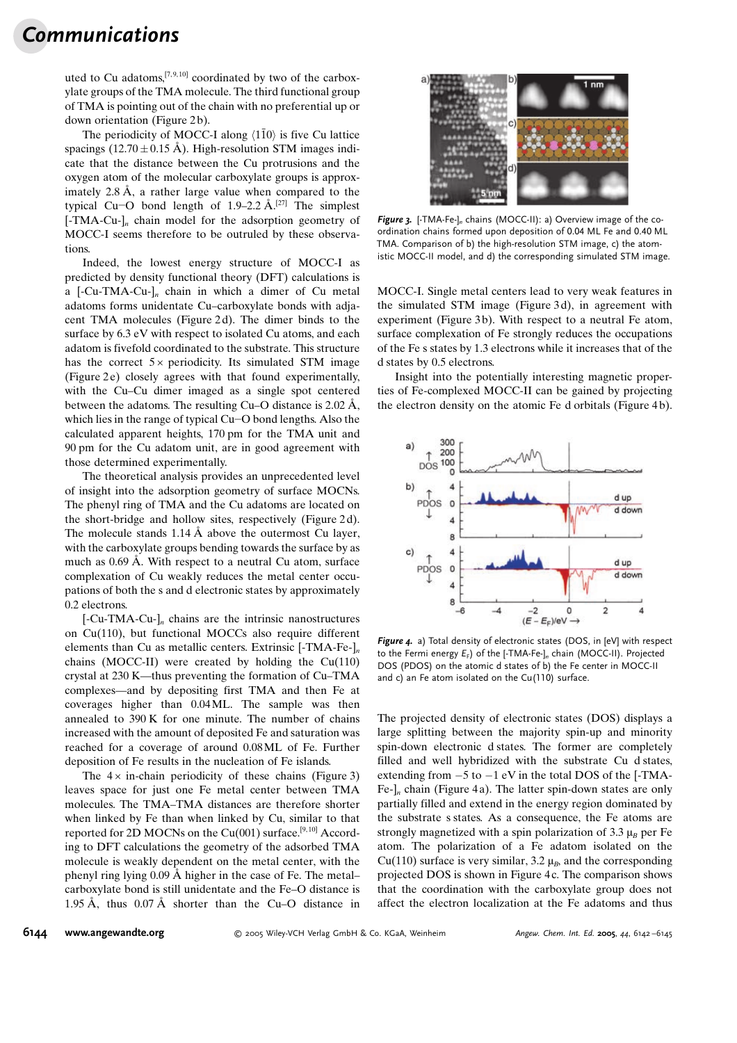# **Communications**

uted to Cu adatoms,  $[7, 9, 10]$  coordinated by two of the carboxylate groups of the TMA molecule. The third functional group of TMA is pointing out of the chain with no preferential up or down orientation (Figure 2b).

The periodicity of MOCC-I along  $\langle 1\bar{1}0 \rangle$  is five Cu lattice spacings (12.70  $\pm$  0.15 Å). High-resolution STM images indicate that the distance between the Cu protrusions and the oxygen atom of the molecular carboxylate groups is approximately  $2.8 \text{ Å}$ , a rather large value when compared to the typical Cu-O bond length of 1.9-2.2  $\AA$ .<sup>[27]</sup> The simplest  $[-TMA-Cu-]_n$  chain model for the adsorption geometry of MOCC-I seems therefore to be outruled by these observations.

Indeed, the lowest energy structure of MOCC-I as predicted by density functional theory (DFT) calculations is a  $[-Cu-TMA-Cu-l_n]$  chain in which a dimer of Cu metal adatoms forms unidentate Cu–carboxylate bonds with adjacent TMA molecules (Figure 2d). The dimer binds to the surface by  $6.3$  eV with respect to isolated Cu atoms, and each adatom is fivefold coordinated to the substrate. This structure has the correct  $5 \times$  periodicity. Its simulated STM image (Figure 2e) closely agrees with that found experimentally, with the Cu–Cu dimer imaged as a single spot centered between the adatoms. The resulting Cu–O distance is  $2.02 \text{ Å}$ , which lies in the range of typical  $Cu$ - $O$  bond lengths. Also the calculated apparent heights, 170 pm for the TMA unit and 90 pm for the Cu adatom unit, are in good agreement with those determined experimentally.

The theoretical analysis provides an unprecedented level of insight into the adsorption geometry of surface MOCNs. The phenyl ring of TMA and the Cu adatoms are located on the short-bridge and hollow sites, respectively (Figure 2 d). The molecule stands  $1.14 \text{ Å}$  above the outermost Cu layer, with the carboxylate groups bending towards the surface by as much as  $0.69$  Å. With respect to a neutral Cu atom, surface complexation of Cu weakly reduces the metal center occupations of both the s and d electronic states by approximately 0.2 electrons.

 $\left[-\text{Cu-TMA-Cu-}\right]_n$  chains are the intrinsic nanostructures on Cu(110), but functional MOCCs also require different elements than Cu as metallic centers. Extrinsic [-TMA-Fe-]<sub>n</sub> chains (MOCC-II) were created by holding the Cu(110) crystal at 230 K—thus preventing the formation of Cu–TMA complexes—and by depositing first TMA and then Fe at coverages higher than 0.04ML. The sample was then annealed to 390 K for one minute. The number of chains increased with the amount of deposited Fe and saturation was reached for a coverage of around 0.08ML of Fe. Further deposition of Fe results in the nucleation of Fe islands.

The  $4 \times$  in-chain periodicity of these chains (Figure 3) leaves space for just one Fe metal center between TMA molecules. The TMA–TMA distances are therefore shorter when linked by Fe than when linked by Cu, similar to that reported for 2D MOCNs on the Cu(001) surface.<sup>[9,10]</sup> According to DFT calculations the geometry of the adsorbed TMA molecule is weakly dependent on the metal center, with the phenyl ring lying  $0.09 \text{ Å}$  higher in the case of Fe. The metal– carboxylate bond is still unidentate and the Fe–O distance is 1.95 Å, thus  $0.07 \text{ Å}$  shorter than the Cu–O distance in



Figure 3. [-TMA-Fe-]<sub>n</sub> chains (MOCC-II): a) Overview image of the coordination chains formed upon deposition of 0.04 ML Fe and 0.40 ML TMA. Comparison of b) the high-resolution STM image, c) the atomistic MOCC-II model, and d) the corresponding simulated STM image.

MOCC-I. Single metal centers lead to very weak features in the simulated STM image (Figure 3 d), in agreement with experiment (Figure 3b). With respect to a neutral Fe atom, surface complexation of Fe strongly reduces the occupations of the Fe s states by 1.3 electrons while it increases that of the d states by 0.5 electrons.

Insight into the potentially interesting magnetic properties of Fe-complexed MOCC-II can be gained by projecting the electron density on the atomic Fe d orbitals (Figure 4 b).



Figure 4. a) Total density of electronic states (DOS, in [eV] with respect to the Fermi energy  $E_F$ ) of the [-TMA-Fe-]<sub>n</sub> chain (MOCC-II). Projected DOS (PDOS) on the atomic d states of b) the Fe center in MOCC-II and c) an Fe atom isolated on the Cu(110) surface.

The projected density of electronic states (DOS) displays a large splitting between the majority spin-up and minority spin-down electronic d states. The former are completely filled and well hybridized with the substrate Cu d states, extending from  $-5$  to  $-1$  eV in the total DOS of the [-TMA-Fe- $\vert_n$  chain (Figure 4a). The latter spin-down states are only partially filled and extend in the energy region dominated by the substrate s states. As a consequence, the Fe atoms are strongly magnetized with a spin polarization of 3.3  $\mu_B$  per Fe atom. The polarization of a Fe adatom isolated on the Cu(110) surface is very similar, 3.2  $\mu_B$ , and the corresponding projected DOS is shown in Figure 4 c. The comparison shows that the coordination with the carboxylate group does not affect the electron localization at the Fe adatoms and thus